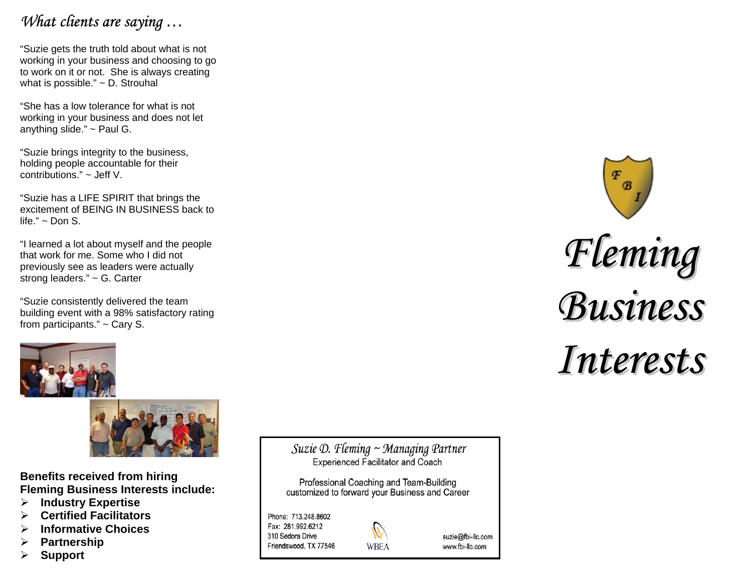# *What clients are saying …*

"Suzie gets the truth told about what is not working in your business and choosing to go to work on it or not. She is always creating what is possible." ~ D. Strouhal

"She has a low tolerance for what is not working in your business and does not let anything slide."  $\sim$  Paul G.

"Suzie brings integrity to the business, holding people accountable for their contributions." ~ Jeff V.

"Suzie has a LIFE SPIRIT that brings the excitement of BEING IN BUSINESS back to life."  $\sim$  Don S.

"I learned a lot about myself and the people that work for me. Some who I did not previously see as leaders were actually strong leaders." ~ G. Carter

"Suzie consistently delivered the team building event with a 98% satisfactory rating from participants." ~ Cary S.





**Benefits received from hiring Fleming Business Interests include:** 

- ¾**Industry Expertise**
- ¾**Certified Facilitators**
- ¾**Informative Choices**
- ¾**Partnership**
- ¾**Support**

Suzie D. Fleming  $\sim$  Managing Partner **Experienced Facilitator and Coach** 

Professional Coaching and Team-Building customized to forward your Business and Career

Phone: 713.248.8602 Fax: 281.992.6212 310 Sedora Drive Friendswood, TX 77546



suzie@fbi-llc.com www.fbi-llc.com